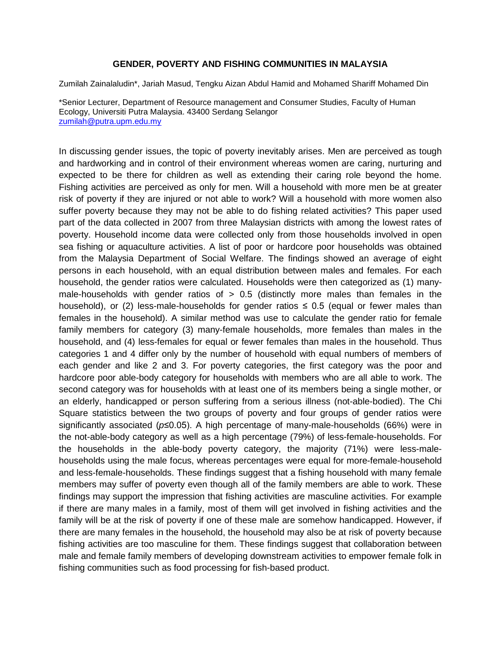## **GENDER, POVERTY AND FISHING COMMUNITIES IN MALAYSIA**

Zumilah Zainalaludin\*, Jariah Masud, Tengku Aizan Abdul Hamid and Mohamed Shariff Mohamed Din

\*Senior Lecturer, Department of Resource management and Consumer Studies, Faculty of Human Ecology, Universiti Putra Malaysia. 43400 Serdang Selangor [zumilah@putra.upm.edu.my](mailto:zumilah@putra.upm.edu.my)

In discussing gender issues, the topic of poverty inevitably arises. Men are perceived as tough and hardworking and in control of their environment whereas women are caring, nurturing and expected to be there for children as well as extending their caring role beyond the home. Fishing activities are perceived as only for men. Will a household with more men be at greater risk of poverty if they are injured or not able to work? Will a household with more women also suffer poverty because they may not be able to do fishing related activities? This paper used part of the data collected in 2007 from three Malaysian districts with among the lowest rates of poverty. Household income data were collected only from those households involved in open sea fishing or aquaculture activities. A list of poor or hardcore poor households was obtained from the Malaysia Department of Social Welfare. The findings showed an average of eight persons in each household, with an equal distribution between males and females. For each household, the gender ratios were calculated. Households were then categorized as (1) manymale-households with gender ratios of  $> 0.5$  (distinctly more males than females in the household), or (2) less-male-households for gender ratios  $\leq$  0.5 (equal or fewer males than females in the household). A similar method was use to calculate the gender ratio for female family members for category (3) many-female households, more females than males in the household, and (4) less-females for equal or fewer females than males in the household. Thus categories 1 and 4 differ only by the number of household with equal numbers of members of each gender and like 2 and 3. For poverty categories, the first category was the poor and hardcore poor able-body category for households with members who are all able to work. The second category was for households with at least one of its members being a single mother, or an elderly, handicapped or person suffering from a serious illness (not-able-bodied). The Chi Square statistics between the two groups of poverty and four groups of gender ratios were significantly associated (*p*≤0.05). A high percentage of many-male-households (66%) were in the not-able-body category as well as a high percentage (79%) of less-female-households. For the households in the able-body poverty category, the majority (71%) were less-malehouseholds using the male focus, whereas percentages were equal for more-female-household and less-female-households. These findings suggest that a fishing household with many female members may suffer of poverty even though all of the family members are able to work. These findings may support the impression that fishing activities are masculine activities. For example if there are many males in a family, most of them will get involved in fishing activities and the family will be at the risk of poverty if one of these male are somehow handicapped. However, if there are many females in the household, the household may also be at risk of poverty because fishing activities are too masculine for them. These findings suggest that collaboration between male and female family members of developing downstream activities to empower female folk in fishing communities such as food processing for fish-based product.